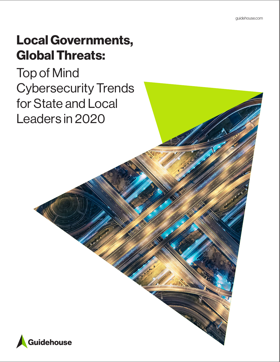# Local Governments, Global Threats:

Top of Mind Cybersecurity Trends for State and Local Leaders in 2020

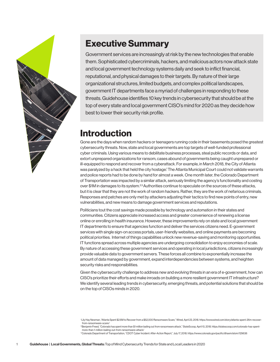

## Executive Summary

Government services are increasingly at risk by the new technologies that enable them. Sophisticated cybercriminals, hackers, and malicious actors now attack state and local government technology systems daily and seek to inflict financial, reputational, and physical damages to their targets. By nature of their large organizational structures, limited budgets, and complex political landscapes, government IT departments face a myriad of challenges in responding to these threats. Guidehouse identifies 10 key trends in cybersecurity that should be at the top of every state and local government CISO's mind for 2020 as they decide how best to lower their security risk profile.

## Introduction

Gone are the days when random hackers or teenagers running code in their basements posed the greatest cybersecurity threats. Now, state and local governments are top targets of well-funded professional cyber criminals. Using various means to debilitate business processes, steal public records or data, and extort unprepared organizations for ransom, cases abound of governments being caught unprepared or ill-equipped to respond and recover from a cyberattack. For example, in March 2018, the City of Atlanta was paralyzed by a hack that held the city hostage.1 The Atlanta Municipal Court could not validate warrants and police reports had to be done by hand for almost a week. One month later, the Colorado Department of Transportation was impacted by a similar attack, seriously limiting the agency's functionality and costing over  $$1M$  in damages to its system.<sup>2,3</sup> Authorities continue to speculate on the sources of these attacks, but it is clear that they are not the work of random hackers. Rather, they are the work of nefarious criminals. Responses and patches are only met by attackers adjusting their tactics to find new points of entry, new vulnerabilities, and new means to damage government services and reputations.

Politicians tout the cost savings made possible by technology and automation in their states and communities. Citizens appreciate increased access and greater convenience of renewing a license online or enrolling in health insurance. However, these improvements rely on state and local government IT departments to ensure that agencies function and deliver the services citizens need. E-government services with single sign-on access portals, user-friendly websites, and online payments are becoming political priorities. Internet of things capabilities unlock new revenue-saving and monitoring opportunities. IT functions spread across multiple agencies are undergoing consolidation to enjoy economies of scale. By nature of accessing these government services and operating in local jurisdictions, citizens increasingly provide valuable data to government servers. These forces all combine to exponentially increase the amount of data managed by government, expand interdependencies between systems, and heighten security risks and responsibilities.

Given the cybersecurity challenge to address new and evolving threats in an era of e-government, how can CISO's prioritize their efforts and make inroads on building a more resilient government IT infrastructure? We identify several leading trends in cybersecurity, emerging threats, and potential solutions that should be on the top of CISOs minds in 2020.

<sup>1</sup> Lily Hay Newman, "Atlanta Spent \$2.6M to Recover from a \$52,000 Ransomware Scare," Wired, April 23, 2018. https://www.wired.com/story/atlanta-spent-26m-recoverfrom-ransomware-scare/

<sup>2</sup> Benjamin Freed, "Colorado has spent more than \$1 million bailing out from ransomware attack," StateScoop, April 10, 2018. https://statescoop.com/colorado-has-spentmore-than-1-million-bailing-out-from-ransomware-attack/

<sup>3</sup> Colorado Department of Transportation, "CDOT Cyber Incident: After-Action Report," July 17, 2018. https://www.colorado.gov/pacific/dhsem/atom/129636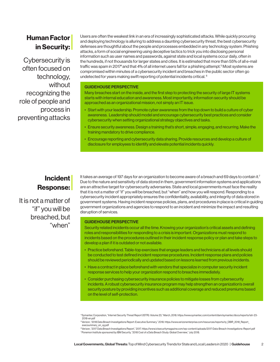## Human Factor in Security:

Cybersecurity is often focused on technology, without recognizing the role of people and process in preventing attacks

Users are often the weakest link in an era of increasingly sophisticated attacks. While quickly procuring and deploying technology is alluring to address a daunting cybersecurity threat, the best cybersecurity defenses are thoughtful about the people and processes embedded in any technology system. Phishing attacks, a form of social engineering using deceptive tactics to trick you into disclosing personal information such as user names and passwords, against state and local systems occur daily, often in the hundreds, if not thousands for larger states and cities. It is estimated that more than 55% of all e-mail traffic was spam in 2017<sup>4</sup> and that 4% of all internet users fall for a phishing attempt.<sup>5</sup> Most systems are compromised within minutes of a cybersecurity incident and breaches in the public sector often go undetected for years making swift reporting of potential incidents critical. <sup>6</sup>

#### GUIDEHOUSE PERSPECTIVE

Many breaches start on the inside, and the first step to protecting the security of large IT systems starts with internal education and awareness. Most importantly, information security should be approached as an organizational mission, not simply an IT issue.

- Start with your leadership. Promote cyber awareness from the top down to build a culture of cyber awareness. Leadership should model and encourage cybersecurity best practices and consider cybersecurity when setting organizational strategy objectives and tasks.
- • Ensure security awareness. Design a training that's short, simple, engaging, and recurring. Make the training mandatory to drive compliance.
- • Encourage reporting and cybersecurity data sharing. Provide resources and develop a culture of disclosure for employees to identify and elevate potential incidents quickly.

### **Incident** Response:

It is not a matter of "if" you will be breached, but "when"

It takes an average of 197 days for an organization to become aware of a breach and 69 days to contain it.<sup>7</sup> Due to the nature and sensitivity of data stored in them, government information systems and applications are an attractive target for cybersecurity adversaries. State and local governments must face the reality that it is not a matter of "if" you will be breached, but "when" and how you will respond. Responding to a cybersecurity incident appropriately ensures the confidentiality, availability, and integrity of data stored in government systems. Having incident response policies, plans, and procedures in place is critical in guiding government organizations and agencies to respond to an incident and minimize the impact and resulting disruption of services.

#### GUIDEHOUSE PERSPECTIVE

Security related incidents occur all the time. Knowing your organization's critical assets and defining roles and responsibilities for responding to a crisis is important. Organizations must respond to incidents based on the procedures outlined in their incident response policy or plan and take steps to develop a plan if it is outdated or not available.

- • Practice beforehand. Table-top exercises that engage leaders and technicians at all levels should be conducted to test defined incident response procedures. Incident response plans and policies should be reviewed periodically and updated based on lessons learned from previous incidents.
- Have a contract in place beforehand with vendors that specialize in computer security incident response services to help your organization respond to breaches immediately.
- • Consider purchasing cybersecurity insurance policies to mitigate losses from cybersecurity incidents. A robust cybersecurity insurance program may help strengthen an organization's overall security posture by providing incentives such as additional coverage and reduced premiums based on the level of self-protection.

<sup>4</sup> Symantec Corporation, "Internet Security Threat Report (ISTR): Volume 23," March, 2018. https://www.symantec.com/content/dam/symantec/docs/reports/istr-23- 2018-en.pdf

<sup>5</sup> Verizon, "2018 Data Breach Investigations Report: Executive Summary," 2018. https://www.verizonenterprise.com/resources/reports/rp\_DBIR\_2018\_Report\_ execsummary\_en\_xg.pdf

<sup>6</sup> Verizon, "2017 Data Breach Investigations Report," 2017. https://www.ictsecuritymagazine.com/wp-content/uploads/2017-Data-Breach-Investigations-Report.pdf 7 Ponemon Institute sponsored by IBM Security, "2018 Cost of a Data Breach Study: Global Overview," July 2018.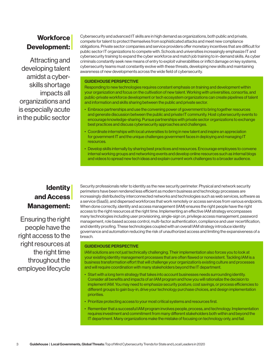## **Workforce** Development:

Attracting and developing talent amidst a cyberskills shortage impacts all organizations and is especially acute in the public sector Cybersecurity and advanced IT skills are in high demand as organizations, both public and private, compete for talent to protect themselves from sophisticated attacks and meet new compliance obligations. Private sector companies and service providers offer monetary incentives that are difficult for public sector IT organizations to compete with. Schools and universities increasingly emphasize IT and cybersecurity training to expand the cyber workforce and match job training to in-demand skills. As cyber criminals constantly seek new means of entry to exploit vulnerabilities or inflict damage on key systems, cybersecurity teams must constantly evolve with these threats, developing new skills and maintaining awareness of new developments across the wide field of cybersecurity.

#### GUIDEHOUSE PERSPECTIVE

Responding to new technologies requires constant emphasis on training and development within your organization and focus on the cultivation of new talent. Working with universities, consortia, and public-private workforce development or tech ecosystem organizations can create pipelines of talent and information and skills sharing between the public and private sector.

- Embrace partnerships and use the convening power of government to bring together resources and generate discussion between the public and private IT community. Host cybersecurity events to encourage knowledge-sharing. Pursue partnerships with private sector organizations to exchange best practices and discuss cybersecurity approaches and challenges.
- • Coordinate internships with local universities to bring in new talent and inspire an appreciation for government IT and the unique challenges government faces in deploying and managing IT resources.
- • Develop skills internally by sharing best practices and resources. Encourage employees to convene internal working groups and networking events and develop online resources such as internal blogs and videos to spread new tech ideas and explain current work challenges to a broader audience.

## **Identity** and Access Management:

Ensuring the right people have the right access to the right resources at the right time throughout the employee lifecycle

Security professionals refer to identity as the new security perimeter. Physical and network security perimeters have been rendered less efficient as modern business and technology processes are increasingly distributed by interconnected networks and technologies such as web services, software as a service (SaaS), and dispersed workforces that work remotely or access services from various endpoints. When done correctly, identity and access management (IAM) ensures the right people have the right access to the right resources at the right time. Implementing an effective IAM strategy encompasses many technologies including user provisioning, single-sign on, privilege access management, password management, role based access control, multi-factor authentication, compliance and user recertification, and identity proofing. These technologies coupled with an overall IAM strategy introduce identity governance and automation reducing the risk of unauthorized access and limiting the expansiveness of a breach.

#### GUIDEHOUSE PERSPECTIVE

IAM solutions are not just technically challenging. Their implementation also forces you to look at your existing identity management processes that are often flawed or nonexistent. Tackling IAM is a business transformation effort that will challenge your organization's existing culture and processes and will require coordination with many stakeholders beyond the IT department.

- • Start with a long term strategy that takes into account businesses needs surrounding identity. Consider all benefits and impacts of an IAM program and how you will rationalize the decision to implement IAM. You may need to emphasize security posture, cost savings, or process efficiencies to different groups to gain buy-in, drive your technology purchase choices, and design implementation priorities.
- Prioritize protecting access to your most critical systems and resources first.
- • Remember that a successful IAM program involves people, process, and technology. Implementation requires investment and commitment from many different stakeholders both within and beyond the IT department. Many organizations make the mistake of focusing on technology only, and fail.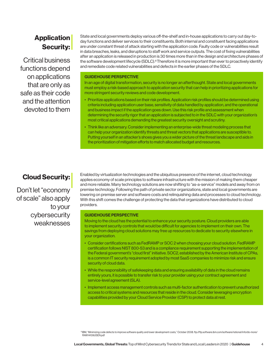## **Application** Security:

Critical business functions depend on applications that are only as safe as their code and the attention devoted to them

State and local governments deploy various off-the-shelf and in-house applications to carry out day-today functions and deliver services to their constituents. Both internal and constituent facing applications are under constant threat of attack starting with the application code. Faulty code or vulnerabilities result in data breaches, leaks, and disruptions to staff work and service outputs. The cost of fixing vulnerabilities after an application is released in production is 30 times more than in the design and architecture phases of the software development lifecycle (SDLC).<sup>8</sup> Therefore it is more important than ever to proactively identify and remediate code related vulnerabilities and defects in the earlier phases of the SDLC.

#### GUIDEHOUSE PERSPECTIVE

In an age of digital transformation, security is no longer an afterthought. State and local governments must employ a risk-based approach to application security that can help in prioritizing applications for more stringent security reviews and code development.

- Prioritize applications based on their risk profiles. Application risk profiles should be determined using criteria including application user base, sensitivity of data handled by application, and the operational and business impact if the application goes down. Use this risk profile and assessment when determining the security rigor that an application is subjected to in the SDLC with your organization's most critical applications demanding the greatest security oversight and scrutiny.
- • Think like an adversary. Consider implementing an enterprise-wide threat modeling process that can help your organization identify threats and threat vectors that applications are susceptible to. Putting yourself in an attacker's shoes gives you a wider picture of the threat landscape and aids in the prioritization of mitigation efforts to match allocated budget and resources.

### Cloud Security:

Don't let "economy of scale" also apply to your cybersecurity weaknesses

Enabled by virtualization technologies and the ubiquitous presence of the internet, cloud technology applies economy of scale principles to software infrastructure with the mission of making them cheaper and more reliable. Many technology solutions are now shifting to "as-a-service" models and away from on premise technology. Following the path of private sector organizations, state and local governments are lowering on premise server and software costs and relinquishing data and processes to cloud technology. With this shift comes the challenge of protecting the data that organizations have distributed to cloud providers.

#### GUIDEHOUSE PERSPECTIVE

Moving to the cloud has the potential to enhance your security posture. Cloud providers are able to implement security controls that would be difficult for agencies to implement on their own. The savings from deploying cloud solutions may free up resources to dedicate to security elsewhere in your organization.

- • Consider certifications such as FedRAMP or SOC 2 when choosing your cloud solution. FedRAMP certification follows NIST 800-53 and is a compliance requirement supporting the implementation of the Federal government's "cloud first" initiative. SOC2, established by the American Institute of CPAs, is a common IT security requirement adopted by most SaaS companies to minimize risk and ensure security of cloud data.
- • While the responsibility of safekeeping data and ensuring availability of data in the cloud remains entirely yours, it is possible to transfer risk to your provider using your contract agreement and service-level agreement (SLA).
- • Implement access management controls such as multi-factor authentication to prevent unauthorized access to critical systems and resources that reside in the cloud. Consider leveraging encryption capabilities provided by your Cloud Service Provider (CSP) to protect data at rest.

<sup>8</sup> IBM, "Minimizing code defects to improve software quality and lower development costs," October 2008. ftp://ftp.software.ibm.com/software/rational/info/do-more/ RAW14109USEN.pdf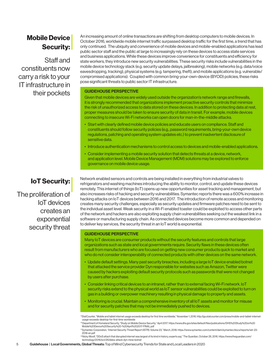## Mobile Device Security:

Staff and constituents now carry a risk to your IT infrastructure in their pockets

An increasing amount of online transactions are shifting from desktop computers to mobile devices. In October 2016, worldwide mobile internet traffic surpassed desktop traffic for the first time, a trend that has only continued. The ubiquity and convenience of mobile devices and mobile-enabled applications has lead public sector staff and the public at large to increasingly rely on these devices to access state services and business applications. While these devices improve convenience for constituents and efficiency for state workers, they introduce new security vulnerabilities. These security risks include vulnerabilities in the mobile device technology stack (e.g. security update delays, jailbreaking), mobile networks (e.g. data/voice eavesdropping, tracking), physical systems (e.g. tampering, theft), and mobile applications (e.g. vulnerable/ compromised applications). Coupled with common bring-your-own-device (BYOD) policies, these risks pose significant threats to public sector IT infrastructure.

#### GUIDEHOUSE PERSPECTIVE

Given that mobile devices are widely used outside the organization's network range and firewalls, it is strongly recommended that organizations implement proactive security controls that minimize the risk of unauthorized access to data stored on these devices. In addition to protecting data at rest, proper measures should be taken to ensure security of data in transit. For example, mobile devices connecting to insecure Wi-Fi networks can open doors for man-in-the-middle attacks.

- • Start with clearly defined mobile device policies and educate users on compliance. Staff and constituents should follow security policies (e.g., password requirements, bring-your-own device regulations, patching and operating system updates etc.) to prevent inadvertent disclosure of sensitive data.
- • Introduce authentication mechanisms to control access to devices and mobile-enabled applications.
- • Consider implementing a mobile security solution that detects threats at a device, network, and application level. Mobile Device Management (MDM) solutions may be explored to enforce governance on mobile device usage.

### IoT Security:

The proliferation of IoT devices creates an exponential security threat Network enabled sensors and controls are being installed in everything from industrial valves to refrigerators and washing machines introducing the ability to monitor, control, and update these devices remotely. This internet of things (IoT) opens up new opportunities for asset tracking and management, but also increases risks of hacking and security vulnerabilities. Symantec reports there was a 600% increase in hacking attacks on IoT devices between 2016 and 2017. The introduction of remote access and monitoring creates many security challenges, especially as security updates and firmware patches need to be sent to the individual asset level. Weak security in a Wi-Fi enabled toaster could be exploited to access other parts of the network and hackers are also exploiting supply chain vulnerabilities seeking out the weakest link in a software or manufacturing supply chain. As connected devices become more common and depended on to deliver key services, the security threat in an IoT world is exponential.

#### GUIDEHOUSE PERSPECTIVE

Many IoT devices are consumer products without the security features and controls that large organizations such as state and local governments require. Security flaws in these devices often result from manufacturers who are focused on getting new consumer products quick to market and who do not consider interoperability of connected products with other devices on the same network.

- • Update default settings. Many past security breaches, including a large IoT device enabled botnet that attacked the service provider Dyn responsible for websites such as Amazon, Twitter were caused by hackers exploiting default security protocols such as passwords that were not changed by users after purchase.
- • Consider linking critical devices to an intranet, rather than to external facing Wi-Fi network. IoT security risks extend to the physical world as IoT sensor vulnerabilities could be exploited to turn on gas in a building or overpower machinery resulting in physical damage to property and assets.
- • Monitoring is crucial. Maintain a comprehensive inventory of all IoT assets and monitor for misuse and for security patches that may not be immediately pushed to devices.

10 Department of Homeland Security, "Study on Mobile Device Security," April 2017. https://www.dhs.gov/sites/default/files/publications/DHS%20Study%20on%20 Mobile%20Device%20Security%20-%20April%202017-FINAL.pdf

12 Nicky Woolf, "DDoS attach that disrupted internet was largest of its kind in history, experts say," The Guardian, October 26, 2016. https://www.theguardian.com/ technology/2016/oct/26/ddos-attack-dyn-mirai-botnet

<sup>9</sup> StatCounter, "Mobile and tablet internet usage exceeds desktop for first time worldwide," November 1, 2016. http://gs.statcounter.com/press/mobile-and-tablet-internetusage-exceeds-desktop-for-first-time-worldwide

<sup>11</sup> Symantec Corporation, "Internet Security Threat Report (ISTR): Volume 23," March, 2018. https://www.symantec.com/content/dam/symantec/docs/reports/istr-23- 2018-en.pdf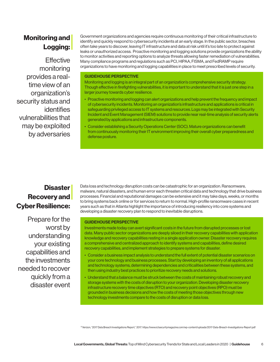## Monitoring and Logging:

**Effective** monitoring provides a realtime view of an organization's security status and identifies vulnerabilities that may be exploited by adversaries

Government organizations and agencies require continuous monitoring of their critical infrastructure to identify and quickly respond to cybersecurity incidents at an early stage. In the public sector, breaches often take years to discover, leaving IT infrastructure and data at risk until it's too late to protect against leaks or unauthorized access. Proactive monitoring and logging solutions provide organizations the ability to monitor activities and reporting options to analyze threats allowing faster remediation of vulnerabilities. Many compliance programs and regulations such as PCI, HIPAA, FISMA, and FedRAMP require organizations to have monitoring and logging capabilities in place to meet prescribed levels of security.

#### GUIDEHOUSE PERSPECTIVE

Monitoring and logging is an integral part of an organization's comprehensive security strategy. Though effective in firefighting vulnerabilities, it is important to understand that it is just one step in a larger journey towards cyber resilience.

- • Proactive monitoring and logging can alert organizations and help prevent the frequency and impact of cybersecurity incidents. Monitoring an organization's infrastructure and applications is critical in safeguarding privileged access to IT systems and resources. Logs may be integrated with Security Incident and Event Management (SIEM) solutions to provide near real-time analysis of security alerts generated by applications and infrastructure components.
- • Consider establishing a Security Operations Center (SOC). Mature organizations can benefit from continuously monitoring their IT environment improving their overall cyber preparedness and defense posture.

## **Disaster** Recovery and Cyber Resilience:

Prepare for the worst by understanding your existing capabilities and the investments needed to recover quickly from a disaster event Data loss and technology disruption costs can be catastrophic for an organization. Ransomware, malware, natural disasters, and human error each threaten critical data and technology that drive business processes. Financial and reputational damages can be extensive and it may take days, weeks, or months to bring systems back online or for services to return to normal. High-profile ransomware cases in recent years such as that in Atlanta highlight the importance of introducing resiliency into core systems and developing a disaster recovery plan to respond to inevitable disruptions.

#### GUIDEHOUSE PERSPECTIVE

Investments made today can avert significant costs in the future from disrupted processes or lost data. Many public sector organizations are deeply siloed in their recovery capabilities with application knowledge and recovery capabilities resting in a single application owner. Disaster recovery requires a comprehensive and centralized approach to identify systems and capabilities, define desired recovery capabilities, and implement strategies to prepare systems for disaster.

- • Consider a business impact analysis to understand the full extent of potential disaster scenarios on your core technology and business processes. Start by developing an inventory of all applications and technology systems, determining dependencies and criticalities between these systems, and then using industry best practices to prioritize recovery needs and solutions.
- Understand that a balance must be struck between the costs of maintaining robust recovery and storage systems with the costs of disruption to your organization. Developing disaster recovery infrastructure recovery time objectives (RTO) and recovery point objectives (RPO) must be grounded in business decisions and how the costs of meeting those objectives through new technology investments compare to the costs of disruption or data loss.

13 Verizon, "2017 Data Breach Investigations Report," 2017. https://www.ictsecuritymagazine.com/wp-content/uploads/2017-Data-Breach-Investigations-Report.pdf